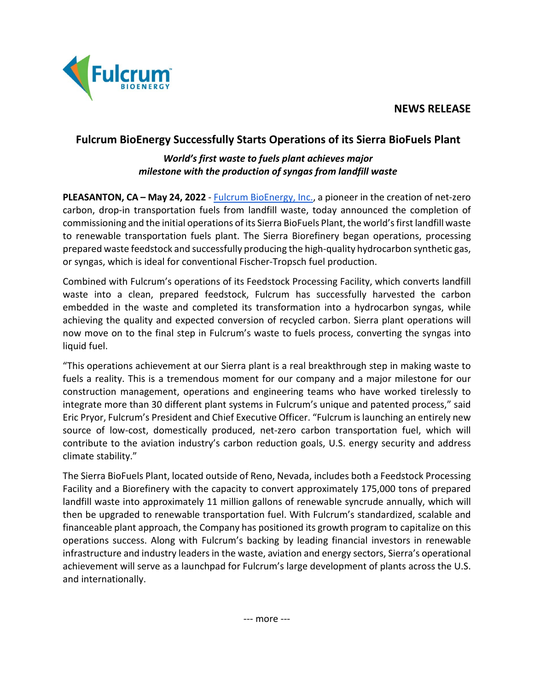**NEWS RELEASE**



## **Fulcrum BioEnergy Successfully Starts Operations of its Sierra BioFuels Plant**

## *World's first waste to fuels plant achieves major milestone with the production of syngas from landfill waste*

**PLEASANTON, CA – May 24, 2022** - [Fulcrum BioEnergy,](https://fulcrum-bioenergy.com/) Inc., a pioneer in the creation of net-zero carbon, drop-in transportation fuels from landfill waste, today announced the completion of commissioning and the initial operations of its Sierra BioFuels Plant, the world's first landfill waste to renewable transportation fuels plant. The Sierra Biorefinery began operations, processing prepared waste feedstock and successfully producing the high-quality hydrocarbon synthetic gas, or syngas, which is ideal for conventional Fischer-Tropsch fuel production.

Combined with Fulcrum's operations of its Feedstock Processing Facility, which converts landfill waste into a clean, prepared feedstock, Fulcrum has successfully harvested the carbon embedded in the waste and completed its transformation into a hydrocarbon syngas, while achieving the quality and expected conversion of recycled carbon. Sierra plant operations will now move on to the final step in Fulcrum's waste to fuels process, converting the syngas into liquid fuel.

"This operations achievement at our Sierra plant is a real breakthrough step in making waste to fuels a reality. This is a tremendous moment for our company and a major milestone for our construction management, operations and engineering teams who have worked tirelessly to integrate more than 30 different plant systems in Fulcrum's unique and patented process," said Eric Pryor, Fulcrum's President and Chief Executive Officer. "Fulcrum is launching an entirely new source of low-cost, domestically produced, net-zero carbon transportation fuel, which will contribute to the aviation industry's carbon reduction goals, U.S. energy security and address climate stability."

The Sierra BioFuels Plant, located outside of Reno, Nevada, includes both a Feedstock Processing Facility and a Biorefinery with the capacity to convert approximately 175,000 tons of prepared landfill waste into approximately 11 million gallons of renewable syncrude annually, which will then be upgraded to renewable transportation fuel. With Fulcrum's standardized, scalable and financeable plant approach, the Company has positioned its growth program to capitalize on this operations success. Along with Fulcrum's backing by leading financial investors in renewable infrastructure and industry leaders in the waste, aviation and energy sectors, Sierra's operational achievement will serve as a launchpad for Fulcrum's large development of plants across the U.S. and internationally.